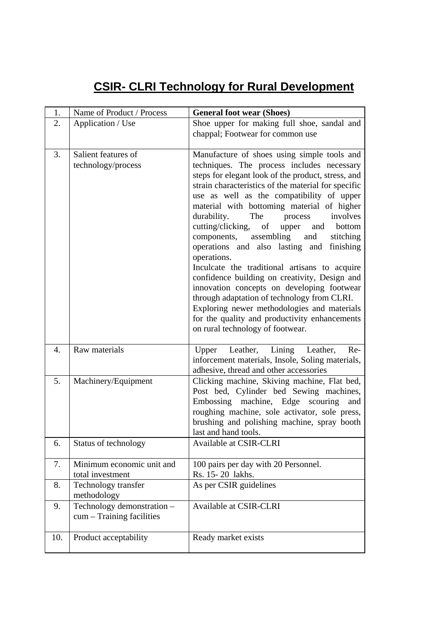## **CSIR- CLRI Technology for Rural Development**

| 1.               | Name of Product / Process                               | <b>General foot wear (Shoes)</b>                                                                                                                                                                                                                                                                                                                                                                                                                                                                                                                                                                                                                                                                                                                                                                                                              |
|------------------|---------------------------------------------------------|-----------------------------------------------------------------------------------------------------------------------------------------------------------------------------------------------------------------------------------------------------------------------------------------------------------------------------------------------------------------------------------------------------------------------------------------------------------------------------------------------------------------------------------------------------------------------------------------------------------------------------------------------------------------------------------------------------------------------------------------------------------------------------------------------------------------------------------------------|
| 2.               | Application / Use                                       | Shoe upper for making full shoe, sandal and<br>chappal; Footwear for common use                                                                                                                                                                                                                                                                                                                                                                                                                                                                                                                                                                                                                                                                                                                                                               |
| 3.               | Salient features of<br>technology/process               | Manufacture of shoes using simple tools and<br>techniques. The process includes necessary<br>steps for elegant look of the product, stress, and<br>strain characteristics of the material for specific<br>use as well as the compatibility of upper<br>material with bottoming material of higher<br>The<br>durability.<br>involves<br>process<br>cutting/clicking, of<br>upper<br>bottom<br>and<br>components, assembling<br>and<br>stitching<br>operations and also lasting and finishing<br>operations.<br>Inculcate the traditional artisans to acquire<br>confidence building on creativity, Design and<br>innovation concepts on developing footwear<br>through adaptation of technology from CLRI.<br>Exploring newer methodologies and materials<br>for the quality and productivity enhancements<br>on rural technology of footwear. |
| $\overline{4}$ . | Raw materials                                           | Leather, Lining<br>Upper<br>Leather,<br>Re-<br>inforcement materials, Insole, Soling materials,<br>adhesive, thread and other accessories                                                                                                                                                                                                                                                                                                                                                                                                                                                                                                                                                                                                                                                                                                     |
| 5.               | Machinery/Equipment                                     | Clicking machine, Skiving machine, Flat bed,<br>Post bed, Cylinder bed Sewing machines,<br>Embossing machine, Edge scouring<br>and<br>roughing machine, sole activator, sole press,<br>brushing and polishing machine, spray booth<br>last and hand tools.                                                                                                                                                                                                                                                                                                                                                                                                                                                                                                                                                                                    |
| 6.               | Status of technology                                    | Available at CSIR-CLRI                                                                                                                                                                                                                                                                                                                                                                                                                                                                                                                                                                                                                                                                                                                                                                                                                        |
| 7.               | Minimum economic unit and<br>total investment           | 100 pairs per day with 20 Personnel.<br>Rs. 15-20 lakhs.                                                                                                                                                                                                                                                                                                                                                                                                                                                                                                                                                                                                                                                                                                                                                                                      |
| 8.               | Technology transfer<br>methodology                      | As per CSIR guidelines                                                                                                                                                                                                                                                                                                                                                                                                                                                                                                                                                                                                                                                                                                                                                                                                                        |
| 9.               | Technology demonstration -<br>cum - Training facilities | Available at CSIR-CLRI                                                                                                                                                                                                                                                                                                                                                                                                                                                                                                                                                                                                                                                                                                                                                                                                                        |
| 10.              | Product acceptability                                   | Ready market exists                                                                                                                                                                                                                                                                                                                                                                                                                                                                                                                                                                                                                                                                                                                                                                                                                           |